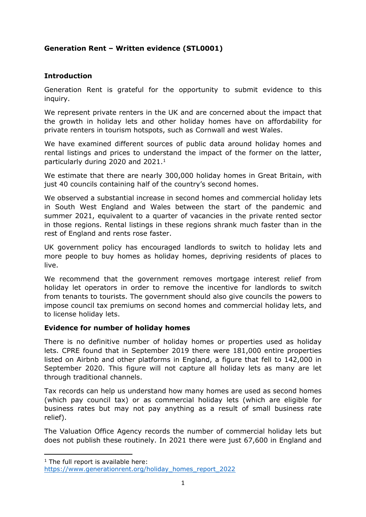# **Generation Rent – Written evidence (STL0001)**

# **Introduction**

Generation Rent is grateful for the opportunity to submit evidence to this inquiry.

We represent private renters in the UK and are concerned about the impact that the growth in holiday lets and other holiday homes have on affordability for private renters in tourism hotspots, such as Cornwall and west Wales.

We have examined different sources of public data around holiday homes and rental listings and prices to understand the impact of the former on the latter, particularly during 2020 and 2021.<sup>1</sup>

We estimate that there are nearly 300,000 holiday homes in Great Britain, with just 40 councils containing half of the country's second homes.

We observed a substantial increase in second homes and commercial holiday lets in South West England and Wales between the start of the pandemic and summer 2021, equivalent to a quarter of vacancies in the private rented sector in those regions. Rental listings in these regions shrank much faster than in the rest of England and rents rose faster.

UK government policy has encouraged landlords to switch to holiday lets and more people to buy homes as holiday homes, depriving residents of places to live.

We recommend that the government removes mortgage interest relief from holiday let operators in order to remove the incentive for landlords to switch from tenants to tourists. The government should also give councils the powers to impose council tax premiums on second homes and commercial holiday lets, and to license holiday lets.

#### **Evidence for number of holiday homes**

There is no definitive number of holiday homes or properties used as holiday lets. CPRE found that in September 2019 there were 181,000 entire properties listed on Airbnb and other platforms in England, a figure that fell to 142,000 in September 2020. This figure will not capture all holiday lets as many are let through traditional channels.

Tax records can help us understand how many homes are used as second homes (which pay council tax) or as commercial holiday lets (which are eligible for business rates but may not pay anything as a result of small business rate relief).

The Valuation Office Agency records the number of commercial holiday lets but does not publish these routinely. In 2021 there were just 67,600 in England and

<sup>&</sup>lt;sup>1</sup> The full report is available here: [https://www.generationrent.org/holiday\\_homes\\_report\\_2022](https://www.generationrent.org/holiday_homes_report_2022)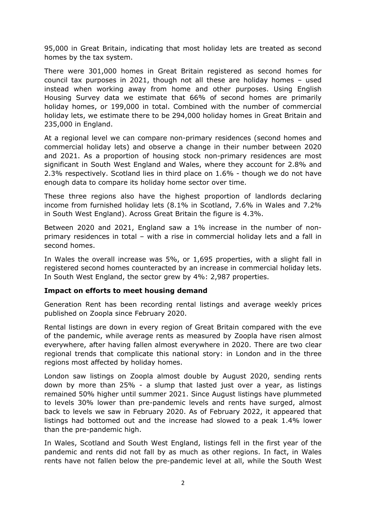95,000 in Great Britain, indicating that most holiday lets are treated as second homes by the tax system.

There were 301,000 homes in Great Britain registered as second homes for council tax purposes in 2021, though not all these are holiday homes – used instead when working away from home and other purposes. Using English Housing Survey data we estimate that 66% of second homes are primarily holiday homes, or 199,000 in total. Combined with the number of commercial holiday lets, we estimate there to be 294,000 holiday homes in Great Britain and 235,000 in England.

At a regional level we can compare non-primary residences (second homes and commercial holiday lets) and observe a change in their number between 2020 and 2021. As a proportion of housing stock non-primary residences are most significant in South West England and Wales, where they account for 2.8% and 2.3% respectively. Scotland lies in third place on 1.6% - though we do not have enough data to compare its holiday home sector over time.

These three regions also have the highest proportion of landlords declaring income from furnished holiday lets (8.1% in Scotland, 7.6% in Wales and 7.2% in South West England). Across Great Britain the figure is 4.3%.

Between 2020 and 2021, England saw a 1% increase in the number of nonprimary residences in total – with a rise in commercial holiday lets and a fall in second homes.

In Wales the overall increase was 5%, or 1,695 properties, with a slight fall in registered second homes counteracted by an increase in commercial holiday lets. In South West England, the sector grew by 4%: 2,987 properties.

#### **Impact on efforts to meet housing demand**

Generation Rent has been recording rental listings and average weekly prices published on Zoopla since February 2020.

Rental listings are down in every region of Great Britain compared with the eve of the pandemic, while average rents as measured by Zoopla have risen almost everywhere, after having fallen almost everywhere in 2020. There are two clear regional trends that complicate this national story: in London and in the three regions most affected by holiday homes.

London saw listings on Zoopla almost double by August 2020, sending rents down by more than 25% - a slump that lasted just over a year, as listings remained 50% higher until summer 2021. Since August listings have plummeted to levels 30% lower than pre-pandemic levels and rents have surged, almost back to levels we saw in February 2020. As of February 2022, it appeared that listings had bottomed out and the increase had slowed to a peak 1.4% lower than the pre-pandemic high.

In Wales, Scotland and South West England, listings fell in the first year of the pandemic and rents did not fall by as much as other regions. In fact, in Wales rents have not fallen below the pre-pandemic level at all, while the South West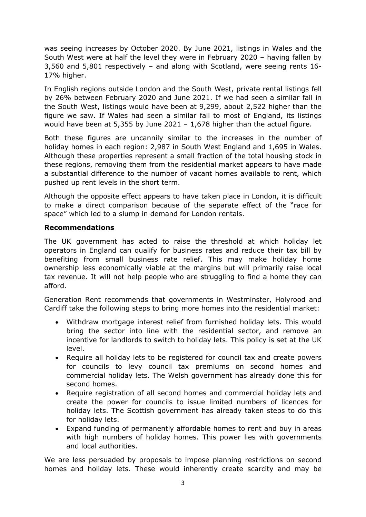was seeing increases by October 2020. By June 2021, listings in Wales and the South West were at half the level they were in February 2020 – having fallen by 3,560 and 5,801 respectively – and along with Scotland, were seeing rents 16- 17% higher.

In English regions outside London and the South West, private rental listings fell by 26% between February 2020 and June 2021. If we had seen a similar fall in the South West, listings would have been at 9,299, about 2,522 higher than the figure we saw. If Wales had seen a similar fall to most of England, its listings would have been at 5,355 by June 2021 – 1,678 higher than the actual figure.

Both these figures are uncannily similar to the increases in the number of holiday homes in each region: 2,987 in South West England and 1,695 in Wales. Although these properties represent a small fraction of the total housing stock in these regions, removing them from the residential market appears to have made a substantial difference to the number of vacant homes available to rent, which pushed up rent levels in the short term.

Although the opposite effect appears to have taken place in London, it is difficult to make a direct comparison because of the separate effect of the "race for space" which led to a slump in demand for London rentals.

#### **Recommendations**

The UK government has acted to raise the threshold at which holiday let operators in England can qualify for business rates and reduce their tax bill by benefiting from small business rate relief. This may make holiday home ownership less economically viable at the margins but will primarily raise local tax revenue. It will not help people who are struggling to find a home they can afford.

Generation Rent recommends that governments in Westminster, Holyrood and Cardiff take the following steps to bring more homes into the residential market:

- Withdraw mortgage interest relief from furnished holiday lets. This would bring the sector into line with the residential sector, and remove an incentive for landlords to switch to holiday lets. This policy is set at the UK level.
- Require all holiday lets to be registered for council tax and create powers for councils to levy council tax premiums on second homes and commercial holiday lets. The Welsh government has already done this for second homes.
- Require registration of all second homes and commercial holiday lets and create the power for councils to issue limited numbers of licences for holiday lets. The Scottish government has already taken steps to do this for holiday lets.
- Expand funding of permanently affordable homes to rent and buy in areas with high numbers of holiday homes. This power lies with governments and local authorities.

We are less persuaded by proposals to impose planning restrictions on second homes and holiday lets. These would inherently create scarcity and may be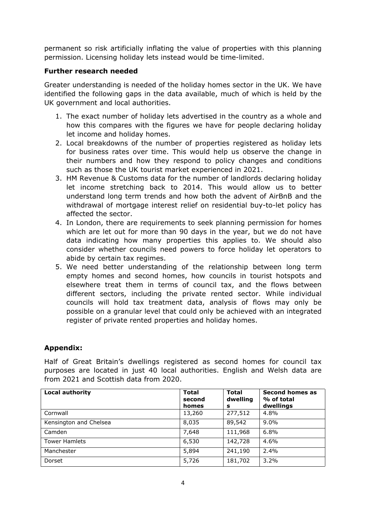permanent so risk artificially inflating the value of properties with this planning permission. Licensing holiday lets instead would be time-limited.

### **Further research needed**

Greater understanding is needed of the holiday homes sector in the UK. We have identified the following gaps in the data available, much of which is held by the UK government and local authorities.

- 1. The exact number of holiday lets advertised in the country as a whole and how this compares with the figures we have for people declaring holiday let income and holiday homes.
- 2. Local breakdowns of the number of properties registered as holiday lets for business rates over time. This would help us observe the change in their numbers and how they respond to policy changes and conditions such as those the UK tourist market experienced in 2021.
- 3. HM Revenue & Customs data for the number of landlords declaring holiday let income stretching back to 2014. This would allow us to better understand long term trends and how both the advent of AirBnB and the withdrawal of mortgage interest relief on residential buy-to-let policy has affected the sector.
- 4. In London, there are requirements to seek planning permission for homes which are let out for more than 90 days in the year, but we do not have data indicating how many properties this applies to. We should also consider whether councils need powers to force holiday let operators to abide by certain tax regimes.
- 5. We need better understanding of the relationship between long term empty homes and second homes, how councils in tourist hotspots and elsewhere treat them in terms of council tax, and the flows between different sectors, including the private rented sector. While individual councils will hold tax treatment data, analysis of flows may only be possible on a granular level that could only be achieved with an integrated register of private rented properties and holiday homes.

# **Appendix:**

Half of Great Britain's dwellings registered as second homes for council tax purposes are located in just 40 local authorities. English and Welsh data are from 2021 and Scottish data from 2020.

| <b>Local authority</b> | <b>Total</b><br>second<br>homes | <b>Total</b><br>dwelling<br>s | Second homes as<br>% of total<br>dwellings |
|------------------------|---------------------------------|-------------------------------|--------------------------------------------|
| Cornwall               | 13,260                          | 277,512                       | 4.8%                                       |
| Kensington and Chelsea | 8,035                           | 89,542                        | $9.0\%$                                    |
| Camden                 | 7,648                           | 111,968                       | 6.8%                                       |
| <b>Tower Hamlets</b>   | 6,530                           | 142,728                       | 4.6%                                       |
| Manchester             | 5,894                           | 241,190                       | 2.4%                                       |
| Dorset                 | 5,726                           | 181,702                       | 3.2%                                       |